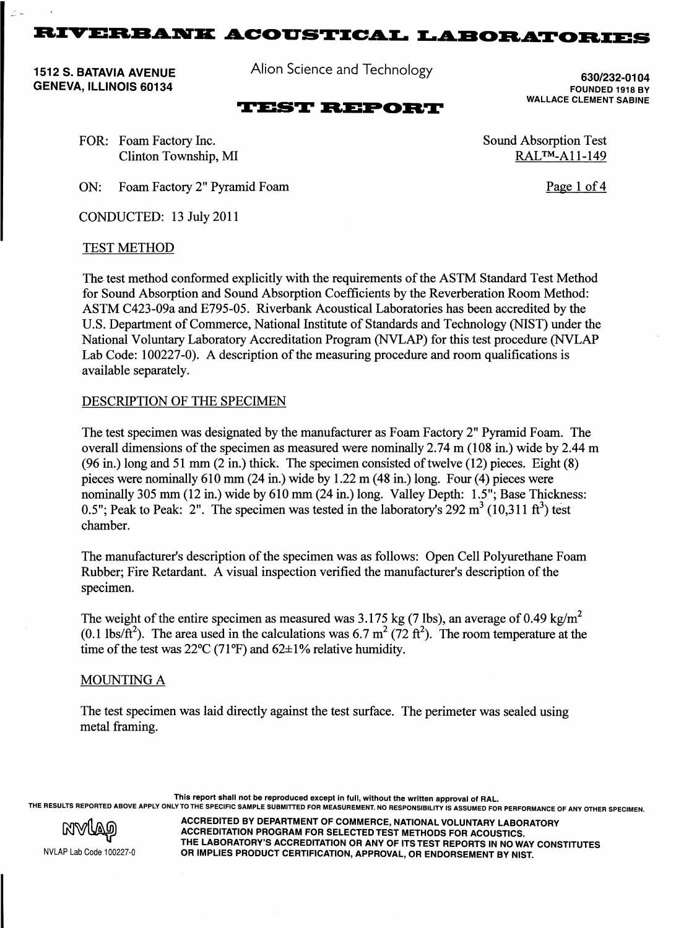1512 S. BATAVIA AVENUE GENEVA, ILLINOIS 60134

Alion Science and Technology

**TEST REPORT** 

630/232-01 04 FOUNDED 1918 BY WALLACE CLEMENT SABINE

Page 1 of 4

Sound Absorption Test RAL™-All-149

FOR: Foam Factory Inc. Clinton Township, MI

ON: Foam Factory 2" Pyramid Foam

CONDUCTED: 13 July 2011

## TEST METHOD

The test method conformed explicitly with the requirements of the ASTM Standard Test Method for Sound Absorption and Sound Absorption Coefficients by the Reverberation Room Method: ASTM C423-09a and E795-05. Riverbank Acoustical Laboratories has been accredited by the U.S. Department of Commerce, National Institute of Standards and Technology (NIST) under the National Voluntary Laboratory Accreditation Program (NVLAP) for this test procedure (NVLAP Lab Code: 100227-0). A description of the measuring procedure and room qualifications is available separately.

## DESCRIPTION OF THE SPECIMEN

The test specimen was designated by the manufacturer as Foam Factory 2" Pyramid Foam. The overall dimensions of the specimen as measured were nominally 2.74 m (108 in.) wide by 2.44 m (96 in.) long and 51 mm (2 in.) thick. The specimen consisted of twelve (12) pieces. Eight (8) pieces were nominally 610 mm (24 in.) wide by 1.22 m (48 in.) long. Four (4) pieces were nominally 305 mm (12 in.) wide by 610 mm (24 in.) long. Valley Depth: 1.5''; Base Thickness: 0.5"; Peak to Peak: 2". The specimen was tested in the laboratory's 292  $m^3$  (10,311 ft<sup>3</sup>) test chamber.

The manufacturer's description of the specimen was as follows: Open Cell Polyurethane Foam Rubber; Fire Retardant. A visual inspection verified the manufacturer's description of the specimen.

The weight of the entire specimen as measured was 3.175 kg (7 lbs), an average of 0.49 kg/m<sup>2</sup> (0.1 lbs/ $\text{ft}^2$ ). The area used in the calculations was 6.7 m<sup>2</sup> (72 ft<sup>2</sup>). The room temperature at the time of the test was  $22^{\circ}C$  (71°F) and 62 $\pm$ 1% relative humidity.

## MOUNTING A

The test specimen was laid directly against the test surface. The perimeter was sealed using metal framing.

This report shall not be reproduced except in full, without the written approval of RAL.

THE RESULTS REPORTED ABOVE APPLY ONLY TO THE SPECIFIC SAMPLE SUBMITTED FOR MEASUREMENT. NO RESPONSIBILITY IS ASSUMED FOR PERFORMANCE OF ANY OTHER SPECIMEN.

NVLAP Lab Code 100227·0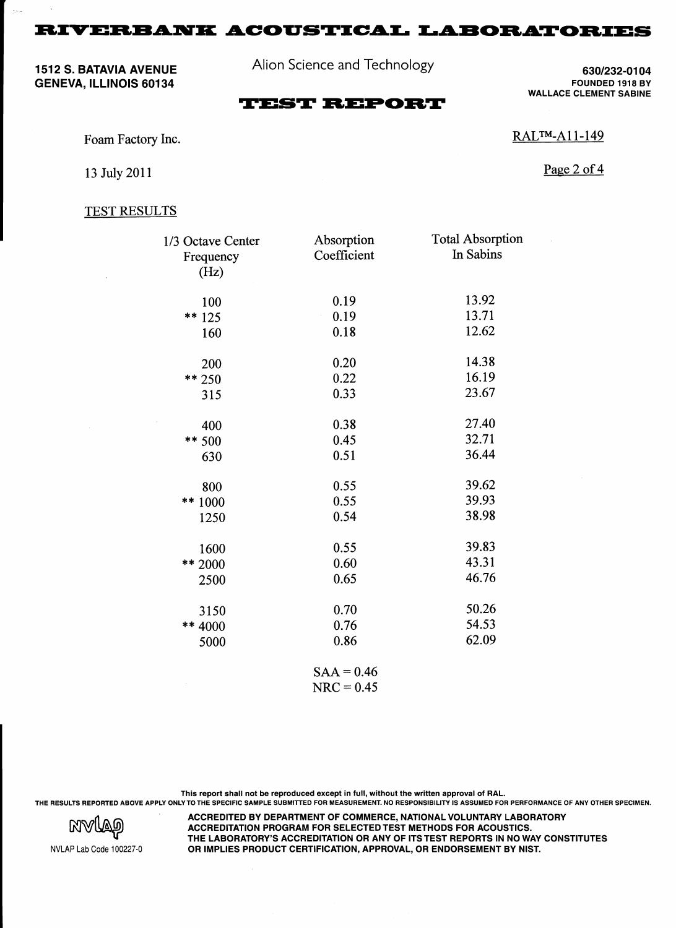1512 S. BATAVIA AVENUE GENEVA, ILLINOIS 60134

 $\mathcal{L}_{\rm{V}}$  .

Alion Science and Technology

630/232-0104 FOUNDED 1918 BY WALLACE CLEMENT SABINE

# **TEST REPORT**

Foam Factory Inc.

13 July 2011

Page 2 of 4

RAL™-A11-149

#### TEST RESULTS

| 1/3 Octave Center | Absorption   | <b>Total Absorption</b> |
|-------------------|--------------|-------------------------|
| Frequency<br>(Hz) | Coefficient  | In Sabins               |
| 100               | 0.19         | 13.92                   |
| ** 125            | 0.19         | 13.71                   |
| 160               | 0.18         | 12.62                   |
| 200               | 0.20         | 14.38                   |
| $** 250$          | 0.22         | 16.19                   |
| 315               | 0.33         | 23.67                   |
| 400               | 0.38         | 27.40                   |
| ** 500            | 0.45         | 32.71                   |
| 630               | 0.51         | 36.44                   |
| 800               | 0.55         | 39.62                   |
| ** 1000           | 0.55         | 39.93                   |
| 1250              | 0.54         | 38.98                   |
| 1600              | 0.55         | 39.83                   |
| ** 2000           | 0.60         | 43.31                   |
| 2500              | 0.65         | 46.76                   |
| 3150              | 0.70         | 50.26                   |
| ** 4000           | 0.76         | 54.53                   |
| 5000              | 0.86         | 62.09                   |
|                   | $SAA = 0.46$ |                         |

 $NRC = 0.45$ 

This report shall not be reproduced except in full, without the written approval of RAL. THE RESULTS REPORTED ABOVE APPLY ONLY TO THE SPECIFIC SAMPLE SUBMITTED FOR MEASUREMENT. NO RESPONSIBILITY IS ASSUMED FOR PERFORMANCE OF ANY OTHER SPECIMEN.



NVLAP Lab Code 100227-0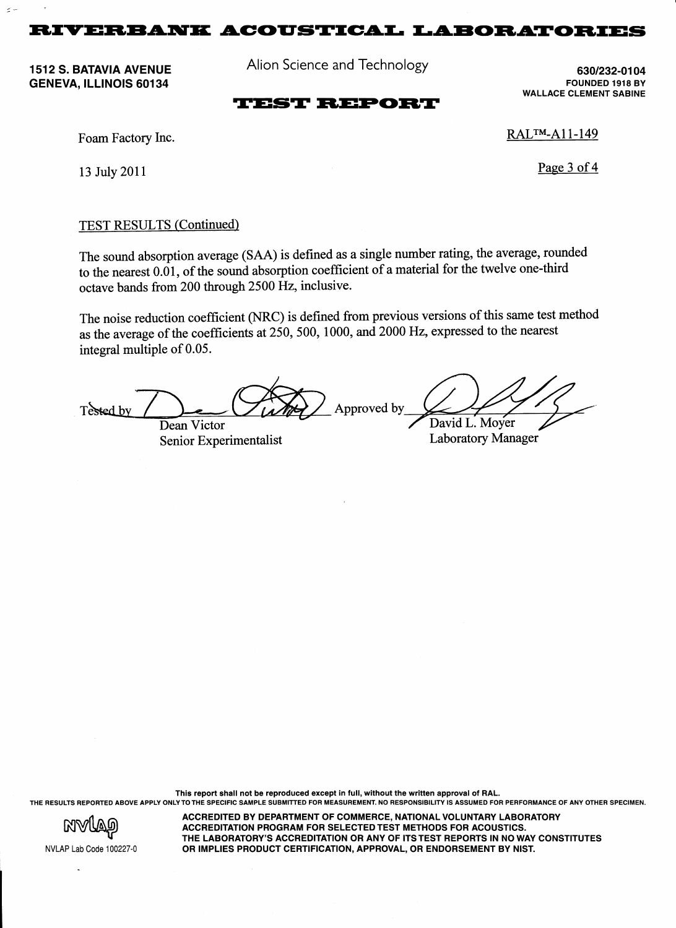Alion Science and Technology

1512 S. BATAVIA AVENUE GENEVA, ILLINOIS 60134

 $\sigma$  .

630/232-01 04 FOUNDED 1918 BY WALLACE CLEMENT SABINE

# **TEST REPORT**

Foam Factory Inc.

13 July 2011

RAL™-A11-149

Page 3 of 4

## TEST RESULTS (Continued)

The sound absorption average (SAA) is defined as a single number rating, the average, rounded to the nearest 0.01, of the sound absorption coefficient of a material for the twelve one-third octave bands from 200 through 2500 Hz, inclusive.

The noise reduction coefficient (NRC) is defined from previous versions of this same test method as the average of the coefficients at  $250$ , 500, 1000, and 2000 Hz, expressed to the nearest integral multiple of 0.05.

Approved by Tested by David L. Moyer Dean Victor

Senior Experimentalist Laboratory Manager

This report shall not be reproduced except in full, without the written approval of RAL. THE RESULTS REPORTED ABOVE APPLY ONLY TO THE SPECIFIC SAMPLE SUBMITTED FOR MEASUREMENT. NO RESPONSIBILITY IS ASSUMED FOR PERFORMANCE OF ANY OTHER SPECIMEN.



NVLAP Lab Code 100227-0